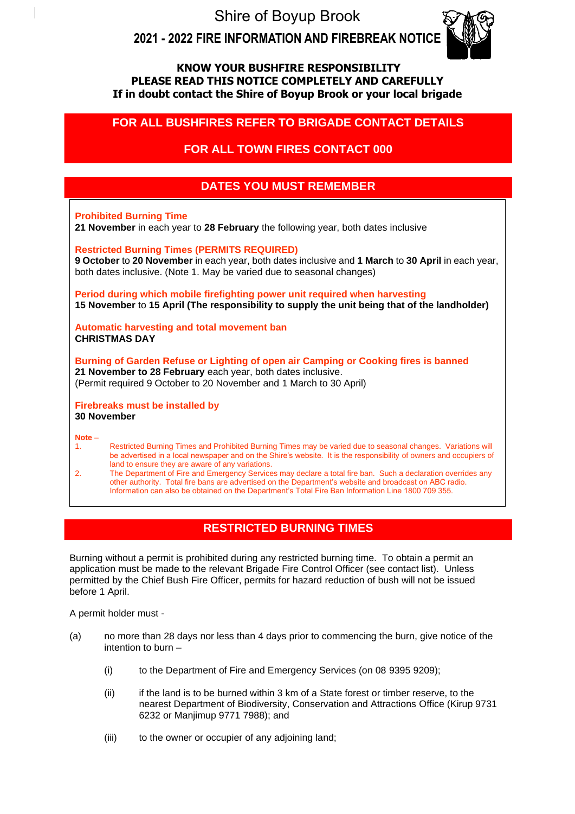# Shire of Boyup Brook

# **2021 - 2022 FIRE INFORMATION AND FIREBREAK NOTICE**



### **KNOW YOUR BUSHFIRE RESPONSIBILITY PLEASE READ THIS NOTICE COMPLETELY AND CAREFULLY If in doubt contact the Shire of Boyup Brook or your local brigade**

# **FOR ALL BUSHFIRES REFER TO BRIGADE CONTACT DETAILS**

# **FOR ALL TOWN FIRES CONTACT 000**

### **DATES YOU MUST REMEMBER**

**Prohibited Burning Time 21 November** in each year to **28 February** the following year, both dates inclusive **Restricted Burning Times (PERMITS REQUIRED) 9 October** to **20 November** in each year, both dates inclusive and **1 March** to **30 April** in each year, both dates inclusive. (Note 1. May be varied due to seasonal changes) **Period during which mobile firefighting power unit required when harvesting 15 November** to **15 April (The responsibility to supply the unit being that of the landholder) Automatic harvesting and total movement ban CHRISTMAS DAY**

**Burning of Garden Refuse or Lighting of open air Camping or Cooking fires is banned 21 November to 28 February** each year, both dates inclusive. (Permit required 9 October to 20 November and 1 March to 30 April)

# **Firebreaks must be installed by**

### **30 November**

#### **Note** –

1. Restricted Burning Times and Prohibited Burning Times may be varied due to seasonal changes. Variations will be advertised in a local newspaper and on the Shire's website. It is the responsibility of owners and occupiers of land to ensure they are aware of any variations.

2. The Department of Fire and Emergency Services may declare a total fire ban. Such a declaration overrides any other authority. Total fire bans are advertised on the Department's website and broadcast on ABC radio. Information can also be obtained on the Department's Total Fire Ban Information Line 1800 709 355.

### **RESTRICTED BURNING TIMES**

Burning without a permit is prohibited during any restricted burning time. To obtain a permit an application must be made to the relevant Brigade Fire Control Officer (see contact list). Unless permitted by the Chief Bush Fire Officer, permits for hazard reduction of bush will not be issued before 1 April.

A permit holder must -

- (a) no more than 28 days nor less than 4 days prior to commencing the burn, give notice of the intention to burn –
	- (i) to the Department of Fire and Emergency Services (on 08 9395 9209);
	- (ii) if the land is to be burned within 3 km of a State forest or timber reserve, to the nearest Department of Biodiversity, Conservation and Attractions Office (Kirup 9731 6232 or Manjimup 9771 7988); and
	- (iii) to the owner or occupier of any adjoining land;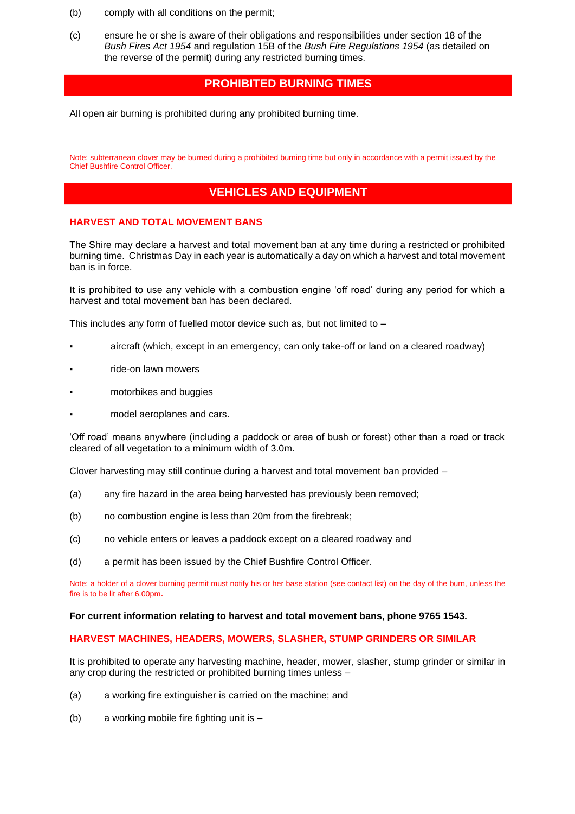- (b) comply with all conditions on the permit;
- (c) ensure he or she is aware of their obligations and responsibilities under section 18 of the *Bush Fires Act 1954* and regulation 15B of the *Bush Fire Regulations 1954* (as detailed on the reverse of the permit) during any restricted burning times.

### **PROHIBITED BURNING TIMES**

All open air burning is prohibited during any prohibited burning time.

Note: subterranean clover may be burned during a prohibited burning time but only in accordance with a permit issued by the Chief Bushfire Control Officer.

### **VEHICLES AND EQUIPMENT**

#### **HARVEST AND TOTAL MOVEMENT BANS**

The Shire may declare a harvest and total movement ban at any time during a restricted or prohibited burning time. Christmas Day in each year is automatically a day on which a harvest and total movement ban is in force.

It is prohibited to use any vehicle with a combustion engine 'off road' during any period for which a harvest and total movement ban has been declared.

This includes any form of fuelled motor device such as, but not limited to –

- aircraft (which, except in an emergency, can only take-off or land on a cleared roadway)
- ride-on lawn mowers
- motorbikes and buggies
- model aeroplanes and cars.

'Off road' means anywhere (including a paddock or area of bush or forest) other than a road or track cleared of all vegetation to a minimum width of 3.0m.

Clover harvesting may still continue during a harvest and total movement ban provided –

- (a) any fire hazard in the area being harvested has previously been removed;
- (b) no combustion engine is less than 20m from the firebreak;
- (c) no vehicle enters or leaves a paddock except on a cleared roadway and
- (d) a permit has been issued by the Chief Bushfire Control Officer.

Note: a holder of a clover burning permit must notify his or her base station (see contact list) on the day of the burn, unless the fire is to be lit after 6.00pm.

#### **For current information relating to harvest and total movement bans, phone 9765 1543.**

#### **HARVEST MACHINES, HEADERS, MOWERS, SLASHER, STUMP GRINDERS OR SIMILAR**

It is prohibited to operate any harvesting machine, header, mower, slasher, stump grinder or similar in any crop during the restricted or prohibited burning times unless –

- (a) a working fire extinguisher is carried on the machine; and
- (b) a working mobile fire fighting unit is –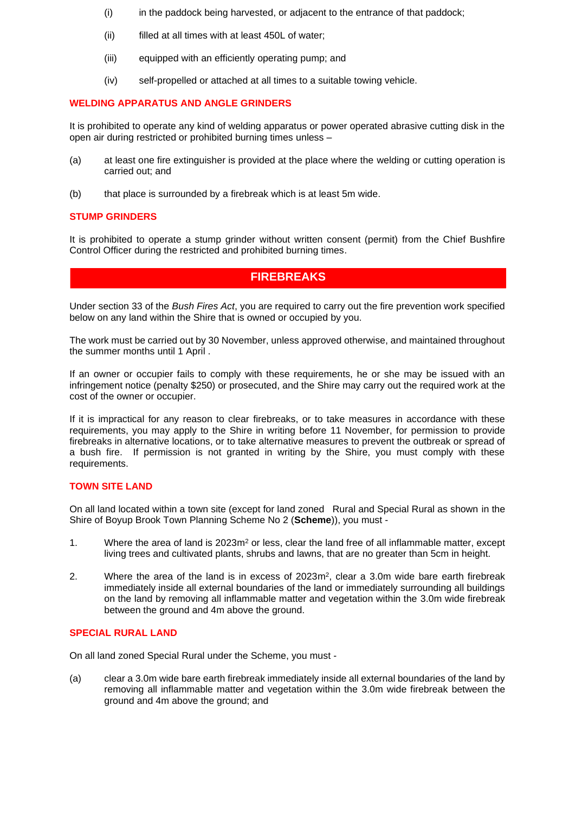- (i) in the paddock being harvested, or adjacent to the entrance of that paddock;
- (ii) filled at all times with at least 450L of water;
- (iii) equipped with an efficiently operating pump; and
- (iv) self-propelled or attached at all times to a suitable towing vehicle.

#### **WELDING APPARATUS AND ANGLE GRINDERS**

It is prohibited to operate any kind of welding apparatus or power operated abrasive cutting disk in the open air during restricted or prohibited burning times unless –

- (a) at least one fire extinguisher is provided at the place where the welding or cutting operation is carried out; and
- (b) that place is surrounded by a firebreak which is at least 5m wide.

#### **STUMP GRINDERS**

It is prohibited to operate a stump grinder without written consent (permit) from the Chief Bushfire Control Officer during the restricted and prohibited burning times.

### **FIREBREAKS**

Under section 33 of the *Bush Fires Act*, you are required to carry out the fire prevention work specified below on any land within the Shire that is owned or occupied by you.

The work must be carried out by 30 November, unless approved otherwise, and maintained throughout the summer months until 1 April .

If an owner or occupier fails to comply with these requirements, he or she may be issued with an infringement notice (penalty \$250) or prosecuted, and the Shire may carry out the required work at the cost of the owner or occupier.

If it is impractical for any reason to clear firebreaks, or to take measures in accordance with these requirements, you may apply to the Shire in writing before 11 November, for permission to provide firebreaks in alternative locations, or to take alternative measures to prevent the outbreak or spread of a bush fire. If permission is not granted in writing by the Shire, you must comply with these requirements.

#### **TOWN SITE LAND**

On all land located within a town site (except for land zoned Rural and Special Rural as shown in the Shire of Boyup Brook Town Planning Scheme No 2 (**Scheme**)), you must -

- 1. Where the area of land is  $2023m^2$  or less, clear the land free of all inflammable matter, except living trees and cultivated plants, shrubs and lawns, that are no greater than 5cm in height.
- 2. Where the area of the land is in excess of  $2023m^2$ , clear a 3.0m wide bare earth firebreak immediately inside all external boundaries of the land or immediately surrounding all buildings on the land by removing all inflammable matter and vegetation within the 3.0m wide firebreak between the ground and 4m above the ground.

### **SPECIAL RURAL LAND**

On all land zoned Special Rural under the Scheme, you must -

(a) clear a 3.0m wide bare earth firebreak immediately inside all external boundaries of the land by removing all inflammable matter and vegetation within the 3.0m wide firebreak between the ground and 4m above the ground; and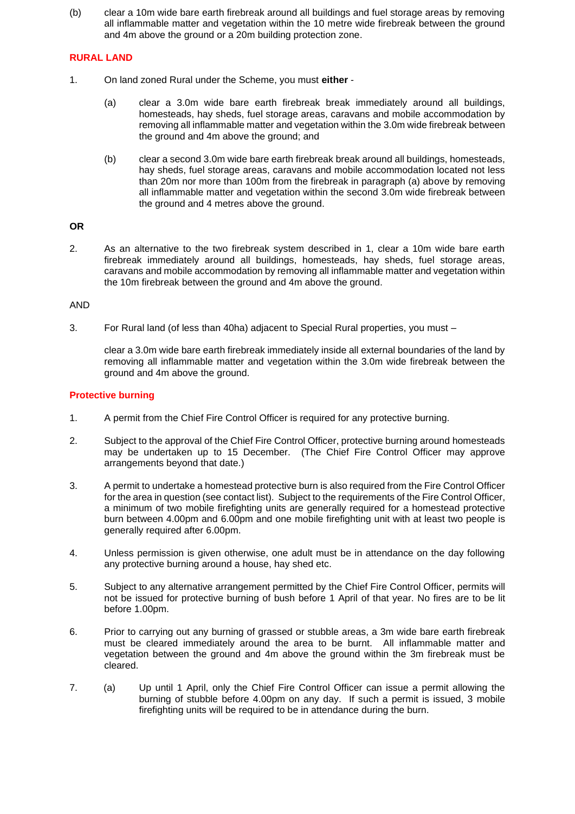(b) clear a 10m wide bare earth firebreak around all buildings and fuel storage areas by removing all inflammable matter and vegetation within the 10 metre wide firebreak between the ground and 4m above the ground or a 20m building protection zone.

#### **RURAL LAND**

- 1. On land zoned Rural under the Scheme, you must **either**
	- (a) clear a 3.0m wide bare earth firebreak break immediately around all buildings, homesteads, hay sheds, fuel storage areas, caravans and mobile accommodation by removing all inflammable matter and vegetation within the 3.0m wide firebreak between the ground and 4m above the ground; and
	- (b) clear a second 3.0m wide bare earth firebreak break around all buildings, homesteads, hay sheds, fuel storage areas, caravans and mobile accommodation located not less than 20m nor more than 100m from the firebreak in paragraph (a) above by removing all inflammable matter and vegetation within the second 3.0m wide firebreak between the ground and 4 metres above the ground.

#### **OR**

2. As an alternative to the two firebreak system described in 1, clear a 10m wide bare earth firebreak immediately around all buildings, homesteads, hay sheds, fuel storage areas, caravans and mobile accommodation by removing all inflammable matter and vegetation within the 10m firebreak between the ground and 4m above the ground.

#### AND

3. For Rural land (of less than 40ha) adjacent to Special Rural properties, you must –

clear a 3.0m wide bare earth firebreak immediately inside all external boundaries of the land by removing all inflammable matter and vegetation within the 3.0m wide firebreak between the ground and 4m above the ground.

#### **Protective burning**

- 1. A permit from the Chief Fire Control Officer is required for any protective burning.
- 2. Subject to the approval of the Chief Fire Control Officer, protective burning around homesteads may be undertaken up to 15 December. (The Chief Fire Control Officer may approve arrangements beyond that date.)
- 3. A permit to undertake a homestead protective burn is also required from the Fire Control Officer for the area in question (see contact list). Subject to the requirements of the Fire Control Officer, a minimum of two mobile firefighting units are generally required for a homestead protective burn between 4.00pm and 6.00pm and one mobile firefighting unit with at least two people is generally required after 6.00pm.
- 4. Unless permission is given otherwise, one adult must be in attendance on the day following any protective burning around a house, hay shed etc.
- 5. Subject to any alternative arrangement permitted by the Chief Fire Control Officer, permits will not be issued for protective burning of bush before 1 April of that year. No fires are to be lit before 1.00pm.
- 6. Prior to carrying out any burning of grassed or stubble areas, a 3m wide bare earth firebreak must be cleared immediately around the area to be burnt. All inflammable matter and vegetation between the ground and 4m above the ground within the 3m firebreak must be cleared.
- 7. (a) Up until 1 April, only the Chief Fire Control Officer can issue a permit allowing the burning of stubble before 4.00pm on any day. If such a permit is issued, 3 mobile firefighting units will be required to be in attendance during the burn.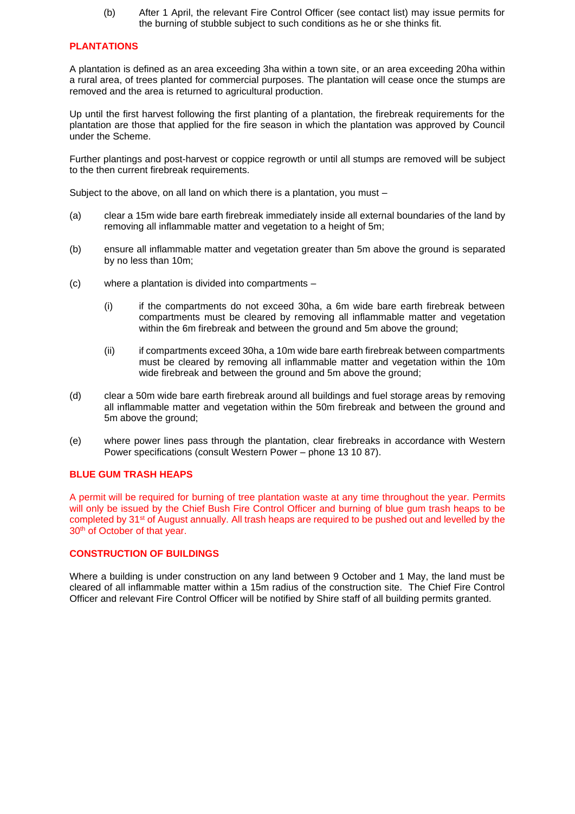(b) After 1 April, the relevant Fire Control Officer (see contact list) may issue permits for the burning of stubble subject to such conditions as he or she thinks fit.

#### **PLANTATIONS**

A plantation is defined as an area exceeding 3ha within a town site, or an area exceeding 20ha within a rural area, of trees planted for commercial purposes. The plantation will cease once the stumps are removed and the area is returned to agricultural production.

Up until the first harvest following the first planting of a plantation, the firebreak requirements for the plantation are those that applied for the fire season in which the plantation was approved by Council under the Scheme.

Further plantings and post-harvest or coppice regrowth or until all stumps are removed will be subject to the then current firebreak requirements.

Subject to the above, on all land on which there is a plantation, you must –

- (a) clear a 15m wide bare earth firebreak immediately inside all external boundaries of the land by removing all inflammable matter and vegetation to a height of 5m;
- (b) ensure all inflammable matter and vegetation greater than 5m above the ground is separated by no less than 10m;
- (c) where a plantation is divided into compartments
	- (i) if the compartments do not exceed 30ha, a 6m wide bare earth firebreak between compartments must be cleared by removing all inflammable matter and vegetation within the 6m firebreak and between the ground and 5m above the ground;
	- (ii) if compartments exceed 30ha, a 10m wide bare earth firebreak between compartments must be cleared by removing all inflammable matter and vegetation within the 10m wide firebreak and between the ground and 5m above the ground;
- (d) clear a 50m wide bare earth firebreak around all buildings and fuel storage areas by removing all inflammable matter and vegetation within the 50m firebreak and between the ground and 5m above the ground;
- (e) where power lines pass through the plantation, clear firebreaks in accordance with Western Power specifications (consult Western Power – phone 13 10 87).

#### **BLUE GUM TRASH HEAPS**

A permit will be required for burning of tree plantation waste at any time throughout the year. Permits will only be issued by the Chief Bush Fire Control Officer and burning of blue gum trash heaps to be completed by 31st of August annually. All trash heaps are required to be pushed out and levelled by the 30<sup>th</sup> of October of that year.

#### **CONSTRUCTION OF BUILDINGS**

Where a building is under construction on any land between 9 October and 1 May, the land must be cleared of all inflammable matter within a 15m radius of the construction site. The Chief Fire Control Officer and relevant Fire Control Officer will be notified by Shire staff of all building permits granted.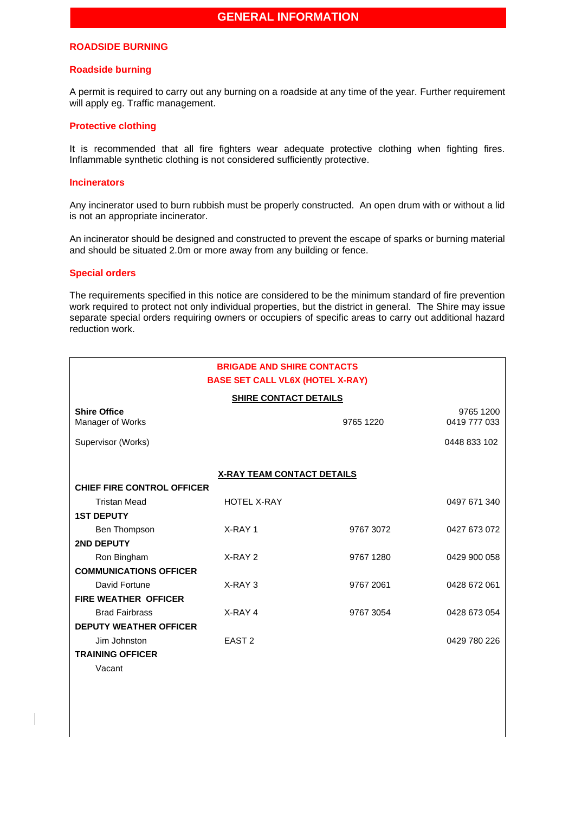#### **ROADSIDE BURNING**

#### **Roadside burning**

A permit is required to carry out any burning on a roadside at any time of the year. Further requirement will apply eg. Traffic management.

#### **Protective clothing**

It is recommended that all fire fighters wear adequate protective clothing when fighting fires. Inflammable synthetic clothing is not considered sufficiently protective.

#### **Incinerators**

Any incinerator used to burn rubbish must be properly constructed. An open drum with or without a lid is not an appropriate incinerator.

An incinerator should be designed and constructed to prevent the escape of sparks or burning material and should be situated 2.0m or more away from any building or fence.

#### **Special orders**

The requirements specified in this notice are considered to be the minimum standard of fire prevention work required to protect not only individual properties, but the district in general. The Shire may issue separate special orders requiring owners or occupiers of specific areas to carry out additional hazard reduction work.

| <b>BRIGADE AND SHIRE CONTACTS</b><br><b>BASE SET CALL VL6X (HOTEL X-RAY)</b> |                    |           |                           |  |  |  |
|------------------------------------------------------------------------------|--------------------|-----------|---------------------------|--|--|--|
| <b>SHIRE CONTACT DETAILS</b>                                                 |                    |           |                           |  |  |  |
| <b>Shire Office</b><br>Manager of Works                                      |                    | 9765 1220 | 9765 1200<br>0419 777 033 |  |  |  |
| Supervisor (Works)                                                           |                    |           | 0448 833 102              |  |  |  |
|                                                                              |                    |           |                           |  |  |  |
| <b>X-RAY TEAM CONTACT DETAILS</b>                                            |                    |           |                           |  |  |  |
| <b>CHIEF FIRE CONTROL OFFICER</b>                                            |                    |           |                           |  |  |  |
| <b>Tristan Mead</b>                                                          | <b>HOTEL X-RAY</b> |           | 0497 671 340              |  |  |  |
| <b>1ST DEPUTY</b>                                                            |                    |           |                           |  |  |  |
| Ben Thompson                                                                 | X-RAY 1            | 9767 3072 | 0427 673 072              |  |  |  |
| <b>2ND DEPUTY</b>                                                            |                    |           |                           |  |  |  |
| Ron Bingham                                                                  | $X-RAY$ 2          | 9767 1280 | 0429 900 058              |  |  |  |
| <b>COMMUNICATIONS OFFICER</b>                                                |                    |           |                           |  |  |  |
| David Fortune                                                                | $X-RAY$ 3          | 9767 2061 | 0428 672 061              |  |  |  |
| <b>FIRE WEATHER OFFICER</b>                                                  |                    |           |                           |  |  |  |
| <b>Brad Fairbrass</b>                                                        | X-RAY 4            | 9767 3054 | 0428 673 054              |  |  |  |
| <b>DEPUTY WEATHER OFFICER</b>                                                |                    |           |                           |  |  |  |
| Jim Johnston                                                                 | EAST <sub>2</sub>  |           | 0429 780 226              |  |  |  |
| <b>TRAINING OFFICER</b>                                                      |                    |           |                           |  |  |  |
| Vacant                                                                       |                    |           |                           |  |  |  |
|                                                                              |                    |           |                           |  |  |  |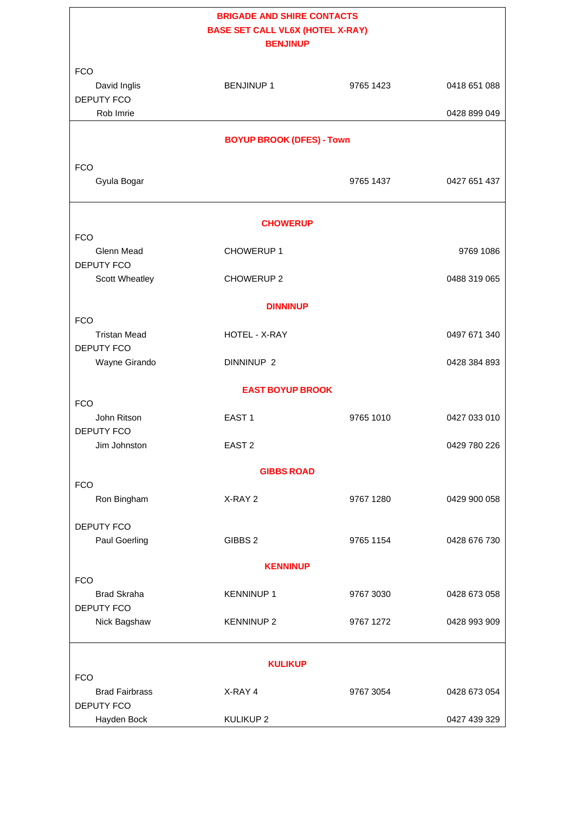# **BRIGADE AND SHIRE CONTACTS BASE SET CALL VL6X (HOTEL X-RAY)**

| <b>BENJINUP</b>                   |                                  |           |              |  |  |
|-----------------------------------|----------------------------------|-----------|--------------|--|--|
|                                   |                                  |           |              |  |  |
| <b>FCO</b><br>David Inglis        | <b>BENJINUP1</b>                 | 9765 1423 | 0418 651 088 |  |  |
| <b>DEPUTY FCO</b>                 |                                  |           |              |  |  |
| Rob Imrie                         |                                  |           | 0428 899 049 |  |  |
|                                   |                                  |           |              |  |  |
|                                   | <b>BOYUP BROOK (DFES) - Town</b> |           |              |  |  |
| <b>FCO</b>                        |                                  |           |              |  |  |
| Gyula Bogar                       |                                  | 9765 1437 | 0427 651 437 |  |  |
|                                   |                                  |           |              |  |  |
|                                   | <b>CHOWERUP</b>                  |           |              |  |  |
| <b>FCO</b>                        |                                  |           |              |  |  |
| <b>Glenn Mead</b>                 | <b>CHOWERUP 1</b>                |           | 9769 1086    |  |  |
| <b>DEPUTY FCO</b>                 |                                  |           |              |  |  |
| <b>Scott Wheatley</b>             | CHOWERUP <sub>2</sub>            |           | 0488 319 065 |  |  |
|                                   | <b>DINNINUP</b>                  |           |              |  |  |
| <b>FCO</b>                        |                                  |           |              |  |  |
| <b>Tristan Mead</b>               | HOTEL - X-RAY                    |           | 0497 671 340 |  |  |
| DEPUTY FCO                        |                                  |           |              |  |  |
| Wayne Girando                     | <b>DINNINUP 2</b>                |           | 0428 384 893 |  |  |
|                                   | <b>EAST BOYUP BROOK</b>          |           |              |  |  |
| <b>FCO</b>                        |                                  |           |              |  |  |
| John Ritson                       | EAST <sub>1</sub>                | 9765 1010 | 0427 033 010 |  |  |
| <b>DEPUTY FCO</b><br>Jim Johnston | EAST <sub>2</sub>                |           | 0429 780 226 |  |  |
|                                   |                                  |           |              |  |  |
| <b>GIBBS ROAD</b>                 |                                  |           |              |  |  |
| <b>FCO</b>                        |                                  |           |              |  |  |
| Ron Bingham                       | X-RAY 2                          | 9767 1280 | 0429 900 058 |  |  |
| <b>DEPUTY FCO</b>                 |                                  |           |              |  |  |
| Paul Goerling                     | GIBBS 2                          | 9765 1154 | 0428 676 730 |  |  |
| <b>KENNINUP</b>                   |                                  |           |              |  |  |
| <b>FCO</b>                        |                                  |           |              |  |  |
| <b>Brad Skraha</b>                | <b>KENNINUP1</b>                 | 9767 3030 | 0428 673 058 |  |  |
| <b>DEPUTY FCO</b>                 |                                  |           |              |  |  |
| Nick Bagshaw                      | <b>KENNINUP 2</b>                | 9767 1272 | 0428 993 909 |  |  |
|                                   |                                  |           |              |  |  |
| <b>KULIKUP</b>                    |                                  |           |              |  |  |
| <b>FCO</b>                        |                                  |           |              |  |  |
| <b>Brad Fairbrass</b>             | X-RAY 4                          | 9767 3054 | 0428 673 054 |  |  |
| <b>DEPUTY FCO</b>                 |                                  |           |              |  |  |
| Hayden Bock                       | KULIKUP <sub>2</sub>             |           | 0427 439 329 |  |  |